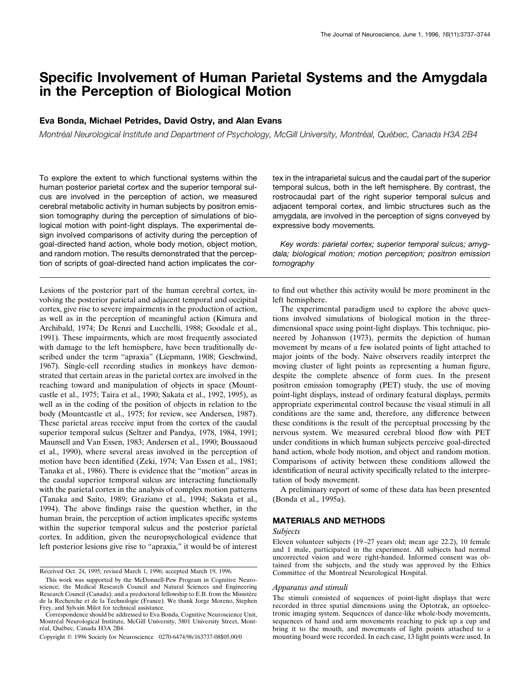# **Specific Involvement of Human Parietal Systems and the Amygdala in the Perception of Biological Motion**

## **Eva Bonda, Michael Petrides, David Ostry, and Alan Evans**

*Montréal Neurological Institute and Department of Psychology, McGill University, Montréal, Québec, Canada H3A 2B4* 

To explore the extent to which functional systems within the human posterior parietal cortex and the superior temporal sulcus are involved in the perception of action, we measured cerebral metabolic activity in human subjects by positron emission tomography during the perception of simulations of biological motion with point-light displays. The experimental design involved comparisons of activity during the perception of goal-directed hand action, whole body motion, object motion, and random motion. The results demonstrated that the perception of scripts of goal-directed hand action implicates the cor-

Lesions of the posterior part of the human cerebral cortex, involving the posterior parietal and adjacent temporal and occipital cortex, give rise to severe impairments in the production of action, as well as in the perception of meaningful action (Kimura and Archibald, 1974; De Renzi and Lucchelli, 1988; Goodale et al., 1991). These impairments, which are most frequently associated with damage to the left hemisphere, have been traditionally described under the term "apraxia" (Liepmann, 1908; Geschwind, 1967). Single-cell recording studies in monkeys have demonstrated that certain areas in the parietal cortex are involved in the reaching toward and manipulation of objects in space (Mountcastle et al., 1975; Taira et al., 1990; Sakata et al., 1992, 1995), as well as in the coding of the position of objects in relation to the body (Mountcastle et al., 1975; for review, see Andersen, 1987). These parietal areas receive input from the cortex of the caudal superior temporal sulcus (Seltzer and Pandya, 1978, 1984, 1991; Maunsell and Van Essen, 1983; Andersen et al., 1990; Boussaoud et al., 1990), where several areas involved in the perception of motion have been identified (Zeki, 1974; Van Essen et al., 1981; Tanaka et al., 1986). There is evidence that the "motion" areas in the caudal superior temporal sulcus are interacting functionally with the parietal cortex in the analysis of complex motion patterns (Tanaka and Saito, 1989; Graziano et al., 1994; Sakata et al., 1994). The above findings raise the question whether, in the human brain, the perception of action implicates specific systems within the superior temporal sulcus and the posterior parietal cortex. In addition, given the neuropsychological evidence that left posterior lesions give rise to "apraxia," it would be of interest

tex in the intraparietal sulcus and the caudal part of the superior temporal sulcus, both in the left hemisphere. By contrast, the rostrocaudal part of the right superior temporal sulcus and adjacent temporal cortex, and limbic structures such as the amygdala, are involved in the perception of signs conveyed by expressive body movements.

*Key words: parietal cortex; superior temporal sulcus; amygdala; biological motion; motion perception; positron emission tomography*

to find out whether this activity would be more prominent in the left hemisphere.

The experimental paradigm used to explore the above questions involved simulations of biological motion in the threedimensional space using point-light displays. This technique, pioneered by Johansson (1973), permits the depiction of human movement by means of a few isolated points of light attached to major joints of the body. Naive observers readily interpret the moving cluster of light points as representing a human figure, despite the complete absence of form cues. In the present positron emission tomography (PET) study, the use of moving point-light displays, instead of ordinary featural displays, permits appropriate experimental control because the visual stimuli in all conditions are the same and, therefore, any difference between these conditions is the result of the perceptual processing by the nervous system. We measured cerebral blood flow with PET under conditions in which human subjects perceive goal-directed hand action, whole body motion, and object and random motion. Comparisons of activity between these conditions allowed the identification of neural activity specifically related to the interpretation of body movement.

A preliminary report of some of these data has been presented (Bonda et al., 1995a).

## **MATERIALS AND METHODS**

## *Subjects*

Eleven volunteer subjects (19 –27 years old; mean age 22.2), 10 female and 1 male, participated in the experiment. All subjects had normal uncorrected vision and were right-handed. Informed consent was obtained from the subjects, and the study was approved by the Ethics Committee of the Montreal Neurological Hospital.

### *Apparatus and stimuli*

The stimuli consisted of sequences of point-light displays that were recorded in three spatial dimensions using the Optotrak, an optoelectronic imaging system. Sequences of dance-like whole-body movements, sequences of hand and arm movements reaching to pick up a cup and bring it to the mouth, and movements of light points attached to a mounting board were recorded. In each case, 13 light points were used. In

Received Oct. 24, 1995; revised March 1, 1996; accepted March 19, 1996.

This work was supported by the McDonnell-Pew Program in Cognitive Neuroscience; the Medical Research Council and Natural Sciences and Engineering Research Council (Canada); and a predoctoral fellowship to E.B. from the Ministère de la Recherche et de la Technologie (France). We thank Jorge Moreno, Stephen Frey, and Sylvain Milot for technical assistance.

Correspondence should be addressed to Eva Bonda, Cognitive Neuroscience Unit, Montréal Neurological Institute, McGill University, 3801 University Street, Montréal, Québec, Canada H3A 2B4.

Copyright © 1996 Society for Neuroscience 0270-6474/96/163737-08\$05.00/0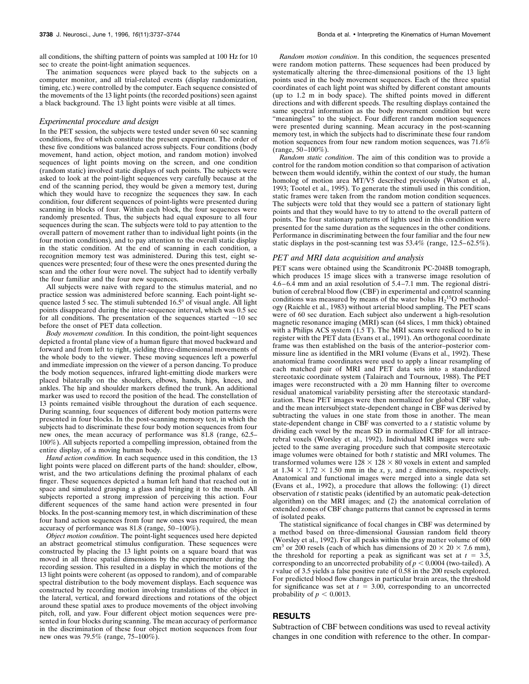all conditions, the shifting pattern of points was sampled at 100 Hz for 10 sec to create the point-light animation sequences.

The animation sequences were played back to the subjects on a computer monitor, and all trial-related events (display randomization, timing, etc.) were controlled by the computer. Each sequence consisted of the movements of the 13 light points (the recorded positions) seen against a black background. The 13 light points were visible at all times.

#### *Experimental procedure and design*

In the PET session, the subjects were tested under seven 60 sec scanning conditions, five of which constitute the present experiment. The order of these five conditions was balanced across subjects. Four conditions (body movement, hand action, object motion, and random motion) involved sequences of light points moving on the screen, and one condition (random static) involved static displays of such points. The subjects were asked to look at the point-light sequences very carefully because at the end of the scanning period, they would be given a memory test, during which they would have to recognize the sequences they saw. In each condition, four different sequences of point-lights were presented during scanning in blocks of four. Within each block, the four sequences were randomly presented. Thus, the subjects had equal exposure to all four sequences during the scan. The subjects were told to pay attention to the overall pattern of movement rather than to individual light points (in the four motion conditions), and to pay attention to the overall static display in the static condition. At the end of scanning in each condition, a recognition memory test was administered. During this test, eight sequences were presented; four of these were the ones presented during the scan and the other four were novel. The subject had to identify verbally the four familiar and the four new sequences.

All subjects were naive with regard to the stimulus material, and no practice session was administered before scanning. Each point-light sequence lasted 5 sec. The stimuli subtended  $16.5^{\circ}$  of visual angle. All light points disappeared during the inter-sequence interval, which was 0.5 sec for all conditions. The presentation of the sequences started  $\sim$ 10 sec before the onset of PET data collection.

*Body movement condition.* In this condition, the point-light sequences depicted a frontal plane view of a human figure that moved backward and forward and from left to right, yielding three-dimensional movements of the whole body to the viewer. These moving sequences left a powerful and immediate impression on the viewer of a person dancing. To produce the body motion sequences, infrared light-emitting diode markers were placed bilaterally on the shoulders, elbows, hands, hips, knees, and ankles. The hip and shoulder markers defined the trunk. An additional marker was used to record the position of the head. The constellation of 13 points remained visible throughout the duration of each sequence. During scanning, four sequences of different body motion patterns were presented in four blocks. In the post-scanning memory test, in which the subjects had to discriminate these four body motion sequences from four new ones, the mean accuracy of performance was 81.8 (range, 62.5– 100%). All subjects reported a compelling impression, obtained from the entire display, of a moving human body.

*Hand action condition.* In each sequence used in this condition, the 13 light points were placed on different parts of the hand: shoulder, elbow, wrist, and the two articulations defining the proximal phalanx of each finger. These sequences depicted a human left hand that reached out in space and simulated grasping a glass and bringing it to the mouth. All subjects reported a strong impression of perceiving this action. Four different sequences of the same hand action were presented in four blocks. In the post-scanning memory test, in which discrimination of these four hand action sequences from four new ones was required, the mean accuracy of performance was 81.8 (range, 50 –100%).

*Object motion condition*. The point-light sequences used here depicted an abstract geometrical stimulus configuration. These sequences were constructed by placing the 13 light points on a square board that was moved in all three spatial dimensions by the experimenter during the recording session. This resulted in a display in which the motions of the 13 light points were coherent (as opposed to random), and of comparable spectral distribution to the body movement displays. Each sequence was constructed by recording motion involving translations of the object in the lateral, vertical, and forward directions and rotations of the object around these spatial axes to produce movements of the object involving pitch, roll, and yaw. Four different object motion sequences were presented in four blocks during scanning. The mean accuracy of performance in the discrimination of these four object motion sequences from four new ones was 79.5% (range, 75–100%).

*Random motion condition*. In this condition, the sequences presented were random motion patterns. These sequences had been produced by systematically altering the three-dimensional positions of the 13 light points used in the body movement sequences. Each of the three spatial coordinates of each light point was shifted by different constant amounts (up to 1.2 m in body space). The shifted points moved in different directions and with different speeds. The resulting displays contained the same spectral information as the body movement condition but were "meaningless" to the subject. Four different random motion sequences were presented during scanning. Mean accuracy in the post-scanning memory test, in which the subjects had to discriminate these four random motion sequences from four new random motion sequences, was 71.6%  $(range, 50-100\%).$ 

*Random static condition*. The aim of this condition was to provide a control for the random motion condition so that comparison of activation between them would identify, within the context of our study, the human homolog of motion area MT/V5 described previously (Watson et al., 1993; Tootel et al., 1995). To generate the stimuli used in this condition, static frames were taken from the random motion condition sequences. The subjects were told that they would see a pattern of stationary light points and that they would have to try to attend to the overall pattern of points. The four stationary patterns of lights used in this condition were presented for the same duration as the sequences in the other conditions. Performance in discriminating between the four familiar and the four new static displays in the post-scanning test was  $53.4\%$  (range,  $12.5-62.5\%$ ).

### *PET and MRI data acquisition and analysis*

PET scans were obtained using the Scanditronix PC-2048B tomograph, which produces 15 image slices with a transverse image resolution of 4.6 – 6.4 mm and an axial resolution of 5.4 –7.1 mm. The regional distribution of cerebral blood flow (CBF) in experimental and control scanning conditions was measured by means of the water bolus  $H_2$ <sup>15</sup>O methodology (Raichle et al., 1983) without arterial blood sampling. The PET scans were of 60 sec duration. Each subject also underwent a high-resolution magnetic resonance imaging (MRI) scan (64 slices, 1 mm thick) obtained with a Philips ACS system (1.5 T). The MRI scans were resliced to be in register with the PET data (Evans et al., 1991). An orthogonal coordinate frame was then established on the basis of the anterior–posterior commissure line as identified in the MRI volume (Evans et al., 1992). These anatomical frame coordinates were used to apply a linear resampling of each matched pair of MRI and PET data sets into a standardized stereotaxic coordinate system (Talairach and Tournoux, 1988). The PET images were reconstructed with a 20 mm Hanning filter to overcome residual anatomical variability persisting after the stereotaxic standardization. These PET images were then normalized for global CBF value, and the mean intersubject state-dependent change in CBF was derived by subtracting the values in one state from those in another. The mean state-dependent change in CBF was converted to a *t* statistic volume by dividing each voxel by the mean SD in normalized CBF for all intracerebral voxels (Worsley et al., 1992). Individual MRI images were subjected to the same averaging procedure such that composite stereotaxic image volumes were obtained for both *t* statistic and MRI volumes. The transformed volumes were  $128 \times 128 \times 80$  voxels in extent and sampled at  $1.34 \times 1.72 \times 1.50$  mm in the *x*, *y*, and *z* dimensions, respectively. Anatomical and functional images were merged into a single data set (Evans et al., 1992), a procedure that allows the following: (1) direct observation of *t* statistic peaks (identified by an automatic peak-detection algorithm) on the MRI images; and (2) the anatomical correlation of extended zones of CBF change patterns that cannot be expressed in terms of isolated peaks.

The statistical significance of focal changes in CBF was determined by a method based on three-dimensional Gaussian random field theory (Worsley et al., 1992). For all peaks within the gray matter volume of 600 cm<sup>3</sup> or 200 resels (each of which has dimensions of  $20 \times 20 \times 7.6$  mm), the threshold for reporting a peak as significant was set at  $t = 3.5$ , corresponding to an uncorrected probability of  $p < 0.0004$  (two-tailed). A *t* value of 3.5 yields a false positive rate of 0.58 in the 200 resels explored. For predicted blood flow changes in particular brain areas, the threshold for significance was set at  $t = 3.00$ , corresponding to an uncorrected probability of  $p < 0.0013$ .

# **RESULTS**

Subtraction of CBF between conditions was used to reveal activity changes in one condition with reference to the other. In compar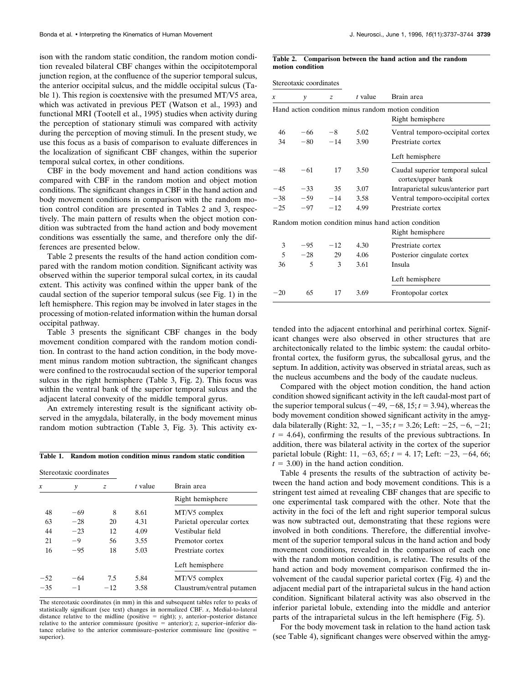ison with the random static condition, the random motion condition revealed bilateral CBF changes within the occipitotemporal junction region, at the confluence of the superior temporal sulcus, the anterior occipital sulcus, and the middle occipital sulcus (Table 1). This region is coextensive with the presumed MT/V5 area, which was activated in previous PET (Watson et al., 1993) and functional MRI (Tootell et al., 1995) studies when activity during the perception of stationary stimuli was compared with activity during the perception of moving stimuli. In the present study, we use this focus as a basis of comparison to evaluate differences in the localization of significant CBF changes, within the superior temporal sulcal cortex, in other conditions.

CBF in the body movement and hand action conditions was compared with CBF in the random motion and object motion conditions. The significant changes in CBF in the hand action and body movement conditions in comparison with the random motion control condition are presented in Tables 2 and 3, respectively. The main pattern of results when the object motion condition was subtracted from the hand action and body movement conditions was essentially the same, and therefore only the differences are presented below.

Table 2 presents the results of the hand action condition compared with the random motion condition. Significant activity was observed within the superior temporal sulcal cortex, in its caudal extent. This activity was confined within the upper bank of the caudal section of the superior temporal sulcus (see Fig. 1) in the left hemisphere. This region may be involved in later stages in the processing of motion-related information within the human dorsal occipital pathway.

Table 3 presents the significant CBF changes in the body movement condition compared with the random motion condition. In contrast to the hand action condition, in the body movement minus random motion subtraction, the significant changes were confined to the rostrocaudal section of the superior temporal sulcus in the right hemisphere (Table 3, Fig. 2). This focus was within the ventral bank of the superior temporal sulcus and the adjacent lateral convexity of the middle temporal gyrus.

An extremely interesting result is the significant activity observed in the amygdala, bilaterally, in the body movement minus random motion subtraction (Table 3, Fig. 3). This activity ex-

## **Table 1. Random motion condition minus random static condition**

| Stereotaxic coordinates |       |       |         |                           |
|-------------------------|-------|-------|---------|---------------------------|
| x                       | y     | z     | t value | Brain area                |
|                         |       |       |         | Right hemisphere          |
| 48                      | -69   | 8     | 8.61    | $MT/V5$ complex           |
| 63                      | $-28$ | 20    | 4.31    | Parietal opercular cortex |
| 44                      | $-23$ | 12    | 4.09    | Vestibular field          |
| 21                      | -9    | 56    | 3.55    | Premotor cortex           |
| 16                      | $-95$ | 18    | 5.03    | Prestriate cortex         |
|                         |       |       |         | Left hemisphere           |
| $-52$                   | $-64$ | 7.5   | 5.84    | $MT/V5$ complex           |
| $-35$                   | $-1$  | $-12$ | 3.58    | Claustrum/ventral putamen |
|                         |       |       |         |                           |

The stereotaxic coordinates (in mm) in this and subsequent tables refer to peaks of statistically significant (see text) changes in normalized CBF. *x*, Medial-to-lateral distance relative to the midline (positive  $=$  right); *y*, anterior-posterior distance relative to the anterior commissure (positive  $=$  anterior); *z*, superior–inferior distance relative to the anterior commissure–posterior commissure line (positive  $=$ superior).

#### **Table 2. Comparison between the hand action and the random motion condition**

Stereotaxic coordinates

| x     | y                        | $\overline{z}$ | t value | Brain area                                           |
|-------|--------------------------|----------------|---------|------------------------------------------------------|
|       |                          |                |         | Hand action condition minus random motion condition  |
|       |                          |                |         | Right hemisphere                                     |
| 46    | -66                      | $-8$           | 5.02    | Ventral temporo-occipital cortex                     |
| 34    | $-80$                    | $-14$          | 3.90    | Prestriate cortex                                    |
|       |                          |                |         | Left hemisphere                                      |
| $-48$ | $-61$                    | 17             | 3.50    | Caudal superior temporal sulcal<br>cortex/upper bank |
| $-45$ | $-33$                    | 35             | 3.07    | Intraparietal sulcus/anterior part                   |
| $-38$ | $-59$                    | $-14$          | 3.58    | Ventral temporo-occipital cortex                     |
| $-25$ | $-97$                    | $-12$          | 4.99    | Prestriate cortex                                    |
|       |                          |                |         | Random motion condition minus hand action condition  |
|       |                          |                |         | Right hemisphere                                     |
| 3     | $-95$                    | $-12$          | 4.30    | Prestriate cortex                                    |
| 5     | $-28$                    | 29             | 4.06    | Posterior cingulate cortex                           |
| 36    | $\overline{\phantom{0}}$ | 3              | 3.61    | Insula                                               |
|       |                          |                |         | Left hemisphere                                      |
| $-20$ | 65                       | 17             | 3.69    | Frontopolar cortex                                   |
|       |                          |                |         |                                                      |

tended into the adjacent entorhinal and perirhinal cortex. Significant changes were also observed in other structures that are architectonically related to the limbic system: the caudal orbitofrontal cortex, the fusiform gyrus, the subcallosal gyrus, and the septum. In addition, activity was observed in striatal areas, such as the nucleus accumbens and the body of the caudate nucleus.

Compared with the object motion condition, the hand action condition showed significant activity in the left caudal-most part of the superior temporal sulcus  $(-49, -68, 15; t = 3.94)$ , whereas the body movement condition showed significant activity in the amygdala bilaterally (Right:  $32, -1, -35$ ;  $t = 3.26$ ; Left:  $-25, -6, -21$ ;  $t = 4.64$ ), confirming the results of the previous subtractions. In addition, there was bilateral activity in the cortex of the superior parietal lobule (Right: 11,  $-63$ ,  $65$ ;  $t = 4$ . 17; Left:  $-23$ ,  $-64$ , 66;  $t = 3.00$ ) in the hand action condition.

Table 4 presents the results of the subtraction of activity between the hand action and body movement conditions. This is a stringent test aimed at revealing CBF changes that are specific to one experimental task compared with the other. Note that the activity in the foci of the left and right superior temporal sulcus was now subtracted out, demonstrating that these regions were involved in both conditions. Therefore, the differential involvement of the superior temporal sulcus in the hand action and body movement conditions, revealed in the comparison of each one with the random motion condition, is relative. The results of the hand action and body movement comparison confirmed the involvement of the caudal superior parietal cortex (Fig. 4) and the adjacent medial part of the intraparietal sulcus in the hand action condition. Significant bilateral activity was also observed in the inferior parietal lobule, extending into the middle and anterior parts of the intraparietal sulcus in the left hemisphere (Fig. 5).

For the body movement task in relation to the hand action task (see Table 4), significant changes were observed within the amyg-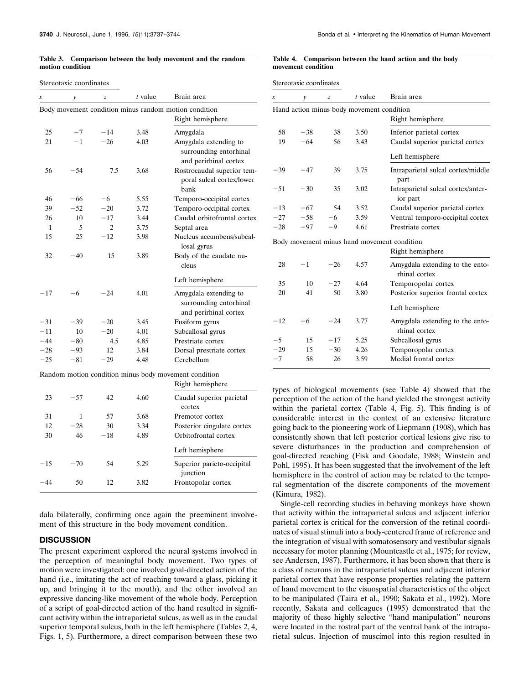### **Table 3. Comparison between the body movement and the random motion condition**

### Stereotaxic coordinates

| x            | y     | z        | $t$ value | Brain area                                                                |
|--------------|-------|----------|-----------|---------------------------------------------------------------------------|
|              |       |          |           | Body movement condition minus random motion condition<br>Right hemisphere |
| 25           | $-7$  | $-14$    | 3.48      | Amygdala                                                                  |
| 21           | $-1$  | $-26$    | 4.03      | Amygdala extending to<br>surrounding entorhinal<br>and perirhinal cortex  |
| 56           | $-54$ | 7.5      | 3.68      | Rostrocaudal superior tem-<br>poral sulcal cortex/lower<br>bank           |
| 46           | $-66$ | -6       | 5.55      | Temporo-occipital cortex                                                  |
| 39           | $-52$ | $^{-20}$ | 3.72      | Temporo-occipital cortex                                                  |
| 26           | 10    | $-17$    | 3.44      | Caudal orbitofrontal cortex                                               |
| $\mathbf{1}$ | 5     | 2        | 3.75      | Septal area                                                               |
| 15           | 25    | $-12$    | 3.98      | Nucleus accumbens/subcal-<br>losal gyrus                                  |
| 32           | $-40$ | 15       | 3.89      | Body of the caudate nu-<br>cleus                                          |
|              |       |          |           | Left hemisphere                                                           |
| $-17$        | -6    | $-24$    | 4.01      | Amygdala extending to<br>surrounding entorhinal<br>and perirhinal cortex  |
| $-31$        | $-39$ | $^{-20}$ | 3.45      | Fusiform gyrus                                                            |
| $-11$        | 10    | $-20$    | 4.01      | Subcallosal gyrus                                                         |
| $-44$        | $-80$ | 4.5      | 4.85      | Prestriate cortex                                                         |
| $-28$        | $-93$ | 12       | 3.84      | Dorsal prestriate cortex                                                  |
| $-25$        | $-81$ | $-29$    | 4.48      | Cerebellum                                                                |
|              |       |          |           | Random motion condition minus body movement condition                     |
|              |       |          |           | Right hemisphere                                                          |
| 23           | $-57$ | 42       | 4.60      | Caudal superior parietal<br>cortex                                        |
| 31           | 1     | 57       | 3.68      | Premotor cortex                                                           |
| 12           | $-28$ | 30       | 3.34      | Posterior cingulate cortex                                                |
| 30           | 46    | $^{-18}$ | 4.89      | Orbitofrontal cortex                                                      |
|              |       |          |           | Left hemisphere                                                           |
| $-15$        | $-70$ | 54       | 5.29      | Superior parieto-occipital<br>junction                                    |
| $-44$        | 50    | 12       | 3.82      | Frontopolar cortex                                                        |

dala bilaterally, confirming once again the preeminent involvement of this structure in the body movement condition.

## **DISCUSSION**

The present experiment explored the neural systems involved in the perception of meaningful body movement. Two types of motion were investigated: one involved goal-directed action of the hand (i.e., imitating the act of reaching toward a glass, picking it up, and bringing it to the mouth), and the other involved an expressive dancing-like movement of the whole body. Perception of a script of goal-directed action of the hand resulted in significant activity within the intraparietal sulcus, as well as in the caudal superior temporal sulcus, both in the left hemisphere (Tables 2, 4, Figs. 1, 5). Furthermore, a direct comparison between these two

#### **Table 4. Comparison between the hand action and the body movement condition**

Stereotaxic coordinates

| x                                           | $\mathcal{V}$ | z     | $t$ value | Brain area                                       |  |
|---------------------------------------------|---------------|-------|-----------|--------------------------------------------------|--|
| Hand action minus body movement condition   |               |       |           |                                                  |  |
|                                             |               |       |           | Right hemisphere                                 |  |
| 58                                          | $-38$         | 38    | 3.50      | Inferior parietal cortex                         |  |
| 19                                          | $-64$         | 56    | 3.43      | Caudal superior parietal cortex                  |  |
|                                             |               |       |           | Left hemisphere                                  |  |
| $-39$                                       | $-47$         | 39    | 3.75      | Intraparietal sulcal cortex/middle<br>part       |  |
| $-51$                                       | $-30$         | 35    | 3.02      | Intraparietal sulcal cortex/anter-<br>ior part   |  |
| $-13$                                       | $-67$         | 54    | 3.52      | Caudal superior parietal cortex                  |  |
| $-27$                                       | $-58$         | $-6$  | 3.59      | Ventral temporo-occipital cortex                 |  |
| $-28$                                       | $-97$         | -9    | 4.61      | Prestriate cortex                                |  |
| Body movement minus hand movement condition |               |       |           |                                                  |  |
|                                             |               |       |           | Right hemisphere                                 |  |
| 28                                          | $-1$          | $-26$ | 4.57      | Amygdala extending to the ento-<br>rhinal cortex |  |
| 35                                          | 10            | $-27$ | 4.64      | Temporopolar cortex                              |  |
| 20                                          | 41            | 50    | 3.80      | Posterior superior frontal cortex                |  |
|                                             |               |       |           | Left hemisphere                                  |  |
| $-12$                                       | $-6$          | $-24$ | 3.77      | Amygdala extending to the ento-<br>rhinal cortex |  |
| $-5$                                        | 15            | $-17$ | 5.25      | Subcallosal gyrus                                |  |
| $-29$                                       | 15            | $-30$ | 4.26      | Temporopolar cortex                              |  |
| $-7$                                        | 58            | 26    | 3.59      | Medial frontal cortex                            |  |

types of biological movements (see Table 4) showed that the perception of the action of the hand yielded the strongest activity within the parietal cortex (Table 4, Fig. 5). This finding is of considerable interest in the context of an extensive literature going back to the pioneering work of Liepmann (1908), which has consistently shown that left posterior cortical lesions give rise to severe disturbances in the production and comprehension of goal-directed reaching (Fisk and Goodale, 1988; Winstein and Pohl, 1995). It has been suggested that the involvement of the left hemisphere in the control of action may be related to the temporal segmentation of the discrete components of the movement (Kimura, 1982).

Single-cell recording studies in behaving monkeys have shown that activity within the intraparietal sulcus and adjacent inferior parietal cortex is critical for the conversion of the retinal coordinates of visual stimuli into a body-centered frame of reference and the integration of visual with somatosensory and vestibular signals necessary for motor planning (Mountcastle et al., 1975; for review, see Andersen, 1987). Furthermore, it has been shown that there is a class of neurons in the intraparietal sulcus and adjacent inferior parietal cortex that have response properties relating the pattern of hand movement to the visuospatial characteristics of the object to be manipulated (Taira et al., 1990; Sakata et al., 1992). More recently, Sakata and colleagues (1995) demonstrated that the majority of these highly selective "hand manipulation" neurons were located in the rostral part of the ventral bank of the intraparietal sulcus. Injection of muscimol into this region resulted in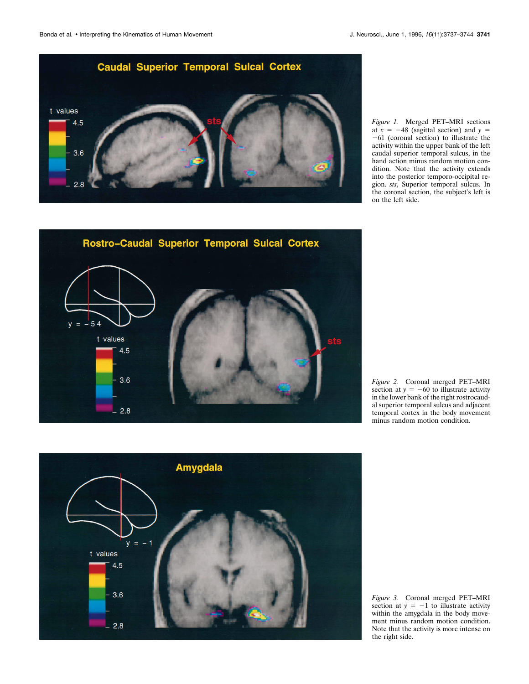

*Figure 1.* Merged PET–MRI sections at  $x = -48$  (sagittal section) and  $y =$  $-61$  (coronal section) to illustrate the activity within the upper bank of the left caudal superior temporal sulcus, in the hand action minus random motion condition. Note that the activity extends into the posterior temporo-occipital region. *sts*, Superior temporal sulcus. In the coronal section, the subject's left is on the left side.



*Figure 2.* Coronal merged PET–MRI section at  $y = -60$  to illustrate activity in the lower bank of the right rostrocaudal superior temporal sulcus and adjacent temporal cortex in the body movement minus random motion condition.



*Figure 3.* Coronal merged PET–MRI section at  $y = -1$  to illustrate activity within the amygdala in the body movement minus random motion condition. Note that the activity is more intense on the right side.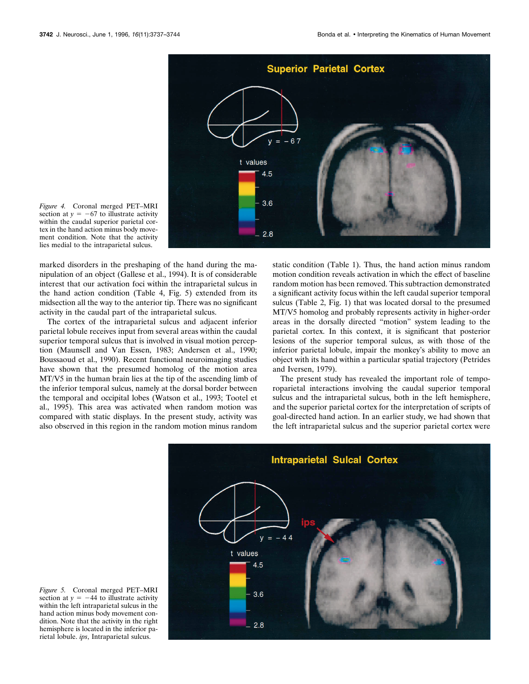

*Figure 4.* Coronal merged PET–MRI section at  $y = -67$  to illustrate activity within the caudal superior parietal cortex in the hand action minus body movement condition. Note that the activity lies medial to the intraparietal sulcus.

marked disorders in the preshaping of the hand during the manipulation of an object (Gallese et al., 1994). It is of considerable interest that our activation foci within the intraparietal sulcus in the hand action condition (Table 4, Fig. 5) extended from its midsection all the way to the anterior tip. There was no significant activity in the caudal part of the intraparietal sulcus.

The cortex of the intraparietal sulcus and adjacent inferior parietal lobule receives input from several areas within the caudal superior temporal sulcus that is involved in visual motion perception (Maunsell and Van Essen, 1983; Andersen et al., 1990; Boussaoud et al., 1990). Recent functional neuroimaging studies have shown that the presumed homolog of the motion area MT/V5 in the human brain lies at the tip of the ascending limb of the inferior temporal sulcus, namely at the dorsal border between the temporal and occipital lobes (Watson et al., 1993; Tootel et al., 1995). This area was activated when random motion was compared with static displays. In the present study, activity was also observed in this region in the random motion minus random static condition (Table 1). Thus, the hand action minus random motion condition reveals activation in which the effect of baseline random motion has been removed. This subtraction demonstrated a significant activity focus within the left caudal superior temporal sulcus (Table 2, Fig. 1) that was located dorsal to the presumed MT/V5 homolog and probably represents activity in higher-order areas in the dorsally directed "motion" system leading to the parietal cortex. In this context, it is significant that posterior lesions of the superior temporal sulcus, as with those of the inferior parietal lobule, impair the monkey's ability to move an object with its hand within a particular spatial trajectory (Petrides and Iversen, 1979).

The present study has revealed the important role of temporoparietal interactions involving the caudal superior temporal sulcus and the intraparietal sulcus, both in the left hemisphere, and the superior parietal cortex for the interpretation of scripts of goal-directed hand action. In an earlier study, we had shown that the left intraparietal sulcus and the superior parietal cortex were



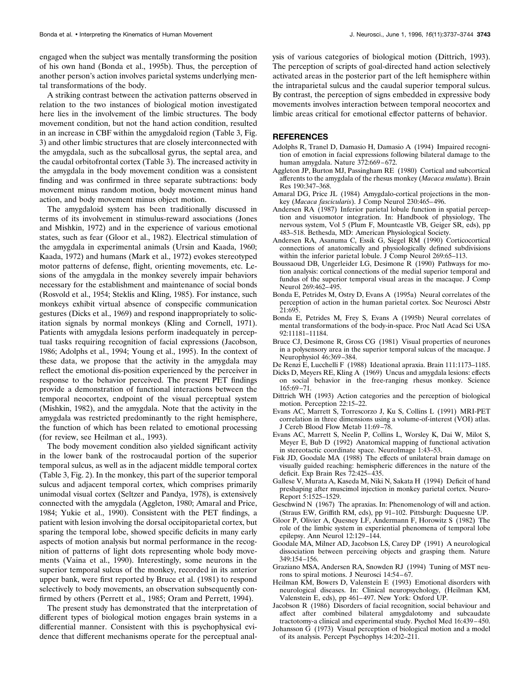engaged when the subject was mentally transforming the position of his own hand (Bonda et al., 1995b). Thus, the perception of another person's action involves parietal systems underlying men-

tal transformations of the body. A striking contrast between the activation patterns observed in relation to the two instances of biological motion investigated here lies in the involvement of the limbic structures. The body movement condition, but not the hand action condition, resulted in an increase in CBF within the amygdaloid region (Table 3, Fig. 3) and other limbic structures that are closely interconnected with the amygdala, such as the subcallosal gyrus, the septal area, and the caudal orbitofrontal cortex (Table 3). The increased activity in the amygdala in the body movement condition was a consistent finding and was confirmed in three separate subtractions: body movement minus random motion, body movement minus hand action, and body movement minus object motion.

The amygdaloid system has been traditionally discussed in terms of its involvement in stimulus-reward associations (Jones and Mishkin, 1972) and in the experience of various emotional states, such as fear (Gloor et al., 1982). Electrical stimulation of the amygdala in experimental animals (Ursin and Kaada, 1960; Kaada, 1972) and humans (Mark et al., 1972) evokes stereotyped motor patterns of defense, flight, orienting movements, etc. Lesions of the amygdala in the monkey severely impair behaviors necessary for the establishment and maintenance of social bonds (Rosvold et al., 1954; Steklis and Kling, 1985). For instance, such monkeys exhibit virtual absence of conspecific communication gestures (Dicks et al., 1969) and respond inappropriately to solicitation signals by normal monkeys (Kling and Cornell, 1971). Patients with amygdala lesions perform inadequately in perceptual tasks requiring recognition of facial expressions (Jacobson, 1986; Adolphs et al., 1994; Young et al., 1995). In the context of these data, we propose that the activity in the amygdala may reflect the emotional dis-position experienced by the perceiver in response to the behavior perceived. The present PET findings provide a demonstration of functional interactions between the temporal neocortex, endpoint of the visual perceptual system (Mishkin, 1982), and the amygdala. Note that the activity in the amygdala was restricted predominantly to the right hemisphere, the function of which has been related to emotional processing (for review, see Heilman et al., 1993).

The body movement condition also yielded significant activity in the lower bank of the rostrocaudal portion of the superior temporal sulcus, as well as in the adjacent middle temporal cortex (Table 3, Fig. 2). In the monkey, this part of the superior temporal sulcus and adjacent temporal cortex, which comprises primarily unimodal visual cortex (Seltzer and Pandya, 1978), is extensively connected with the amygdala (Aggleton, 1980; Amaral and Price, 1984; Yukie et al., 1990). Consistent with the PET findings, a patient with lesion involving the dorsal occipitoparietal cortex, but sparing the temporal lobe, showed specific deficits in many early aspects of motion analysis but normal performance in the recognition of patterns of light dots representing whole body movements (Vaina et al., 1990). Interestingly, some neurons in the superior temporal sulcus of the monkey, recorded in its anterior upper bank, were first reported by Bruce et al. (1981) to respond selectively to body movements, an observation subsequently confirmed by others (Perrett et al., 1985; Oram and Perrett, 1994).

The present study has demonstrated that the interpretation of different types of biological motion engages brain systems in a differential manner. Consistent with this is psychophysical evidence that different mechanisms operate for the perceptual analysis of various categories of biological motion (Dittrich, 1993). The perception of scripts of goal-directed hand action selectively activated areas in the posterior part of the left hemisphere within the intraparietal sulcus and the caudal superior temporal sulcus. By contrast, the perception of signs embedded in expressive body movements involves interaction between temporal neocortex and limbic areas critical for emotional effector patterns of behavior.

## **REFERENCES**

- Adolphs R, Tranel D, Damasio H, Damasio A (1994) Impaired recognition of emotion in facial expressions following bilateral damage to the human amygdala. Nature 372:669 – 672.
- Aggleton JP, Burton MJ, Passingham RE (1980) Cortical and subcortical afferents to the amygdala of the rhesus monkey (*Macaca mulatta*). Brain Res 190:347–368.
- Amaral DG, Price JL (1984) Amygdalo-cortical projections in the monkey (*Macaca fascicularis*). J Comp Neurol 230:465– 496.
- Andersen RA (1987) Inferior parietal lobule function in spatial perception and visuomotor integration. In: Handbook of physiology, The nervous system, Vol 5 (Plum F, Mountcastle VB, Geiger SR, eds), pp 483–518. Bethesda, MD: American Physiological Society.
- Andersen RA, Asanuma C, Essik G, Siegel RM (1990) Corticocortical connections of anatomically and physiologically defined subdivisions within the inferior parietal lobule. J Comp Neurol 269:65–113.
- Boussaoud DB, Ungerleider LG, Desimone R (1990) Pathways for motion analysis: cortical connections of the medial superior temporal and fundus of the superior temporal visual areas in the macaque. J Comp Neurol 269:462– 495.
- Bonda E, Petrides M, Ostry D, Evans A (1995a) Neural correlates of the perception of action in the human parietal cortex. Soc Neurosci Abstr 21:695.
- Bonda E, Petrides M, Frey S, Evans A (1995b) Neural correlates of mental transformations of the body-in-space. Proc Natl Acad Sci USA 92:11181–11184.
- Bruce CJ, Desimone R, Gross CG (1981) Visual properties of neurones in a polysensory area in the superior temporal sulcus of the macaque. J Neurophysiol 46:369 –384.
- De Renzi E, Lucchelli F (1988) Ideational apraxia. Brain 111:1173–1185.
- Dicks D, Meyers RE, Kling A (1969) Uncus and amygdala lesions: effects on social behavior in the free-ranging rhesus monkey. Science 165:69 –71.
- Dittrich WH (1993) Action categories and the perception of biological motion. Perception 22:15–22.
- Evans AC, Marrett S, Torrescorzo J, Ku S, Collins L (1991) MRI-PET correlation in three dimensions using a volume-of-interest (VOI) atlas. J Cereb Blood Flow Metab 11:69 –78.
- Evans AC, Marrett S, Neelin P, Collins L, Worsley K, Dai W, Milot S, Meyer E, Bub D (1992) Anatomical mapping of functional activation in stereotactic coordinate space. NeuroImage 1:43–53.
- Fisk JD, Goodale MA (1988) The effects of unilateral brain damage on visually guided reaching: hemispheric differences in the nature of the deficit. Exp Brain Res 72:425– 435.
- Gallese V, Murata A, Kaseda M, Niki N, Sakata H (1994) Deficit of hand preshaping after muscimol injection in monkey parietal cortex. Neuro-Report 5:1525–1529.
- Geschwind N (1967) The apraxias. In: Phenomenology of will and action. (Straus EW, Griffith RM, eds), pp 91–102. Pittsburgh: Duquesne UP.
- Gloor P, Olivier A, Quesney LF, Andermann F, Horowitz S (1982) The role of the limbic system in experiential phenomena of temporal lobe epilepsy. Ann Neurol 12:129 –144.
- Goodale MA, Milner AD, Jacobson LS, Carey DP (1991) A neurological dissociation between perceiving objects and grasping them. Nature 349:154 –156.
- Graziano MSA, Andersen RA, Snowden RJ (1994) Tuning of MST neurons to spiral motions. J Neurosci 14:54-67.
- Heilman KM, Bowers D, Valenstein E (1993) Emotional disorders with neurological diseases. In: Clinical neuropsychology, (Heilman KM, Valenstein E, eds), pp 461-497. New York: Oxford UP.
- Jacobson R (1986) Disorders of facial recognition, social behaviour and affect after combined bilateral amygdalotomy and subcaudate tractotomy-a clinical and experimental study. Psychol Med 16:439 – 450.
- Johansson G (1973) Visual perception of biological motion and a model of its analysis. Percept Psychophys 14:202–211.